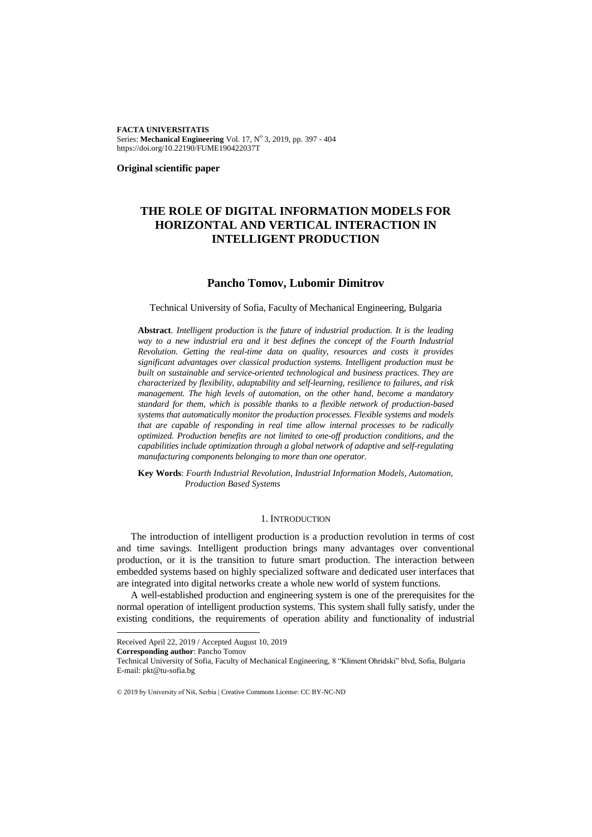**FACTA UNIVERSITATIS** Series: Mechanical Engineering Vol. 17, Nº 3, 2019, pp. 397 - 404 https://doi.org/10.22190/FUME190422037T

**Original scientific paper**

# **THE ROLE OF DIGITAL INFORMATION MODELS FOR HORIZONTAL AND VERTICAL INTERACTION IN INTELLIGENT PRODUCTION**

# **Pancho Tomov, Lubomir Dimitrov**

Technical University of Sofia, Faculty of Mechanical Engineering, Bulgaria

**Abstract**. *Intelligent production is the future of industrial production. It is the leading*  way to a new industrial era and it best defines the concept of the Fourth Industrial *Revolution. Getting the real-time data on quality, resources and costs it provides significant advantages over classical production systems. Intelligent production must be built on sustainable and service-oriented technological and business practices. They are characterized by flexibility, adaptability and self-learning, resilience to failures, and risk management. The high levels of automation, on the other hand, become a mandatory standard for them, which is possible thanks to a flexible network of production-based systems that automatically monitor the production processes. Flexible systems and models that are capable of responding in real time allow internal processes to be radically optimized. Production benefits are not limited to one-off production conditions, and the capabilities include optimization through a global network of adaptive and self-regulating manufacturing components belonging to more than one operator.*

**Key Words**: *Fourth Industrial Revolution, Industrial Information Models, Automation, Production Based Systems*

#### 1. INTRODUCTION

The introduction of intelligent production is a production revolution in terms of cost and time savings. Intelligent production brings many advantages over conventional production, or it is the transition to future smart production. The interaction between embedded systems based on highly specialized software and dedicated user interfaces that are integrated into digital networks create a whole new world of system functions.

A well-established production and engineering system is one of the prerequisites for the normal operation of intelligent production systems. This system shall fully satisfy, under the existing conditions, the requirements of operation ability and functionality of industrial

l

Received April 22, 2019 / Accepted August 10, 2019

**Corresponding author**: Pancho Tomov

Technical University of Sofia, Faculty of Mechanical Engineering, 8 "Kliment Ohridski" blvd, Sofia, Bulgaria E-mail: pkt@tu-sofia.bg

<sup>© 2019</sup> by University of Niš, Serbia | Creative Commons License: CC BY-NC-ND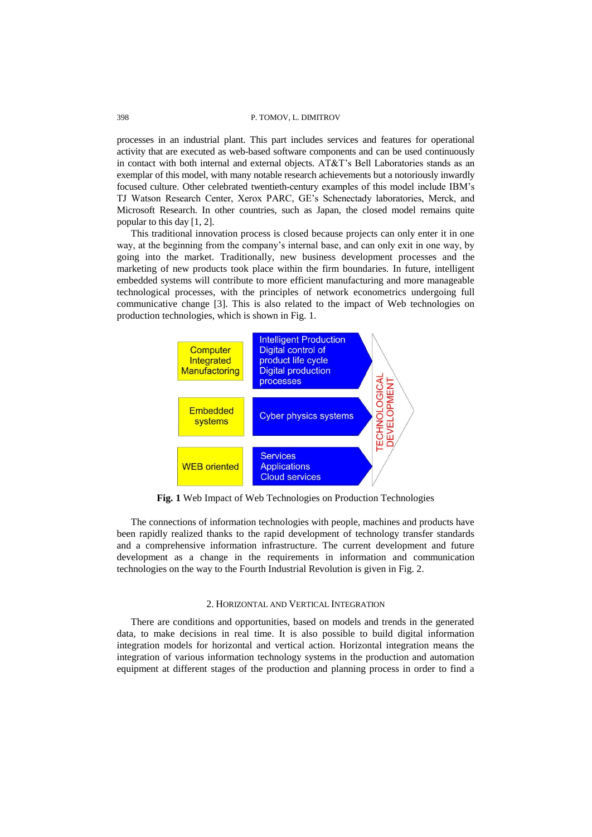#### 398 P. TOMOV, L. DIMITROV

processes in an industrial plant. This part includes services and features for operational activity that are executed as web-based software components and can be used continuously in contact with both internal and external objects. AT&T's Bell Laboratories stands as an exemplar of this model, with many notable research achievements but a notoriously inwardly focused culture. Other celebrated twentieth-century examples of this model include IBM's TJ Watson Research Center, Xerox PARC, GE's Schenectady laboratories, Merck, and Microsoft Research. In other countries, such as Japan, the closed model remains quite popular to this day [1, 2].

This traditional innovation process is closed because projects can only enter it in one way, at the beginning from the company's internal base, and can only exit in one way, by going into the market. Traditionally, new business development processes and the marketing of new products took place within the firm boundaries. In future, intelligent embedded systems will contribute to more efficient manufacturing and more manageable technological processes, with the principles of network econometrics undergoing full communicative change [3]. This is also related to the impact of Web technologies on production technologies, which is shown in Fig. 1.



**Fig. 1** Web Impact of Web Technologies on Production Technologies

The connections of information technologies with people, machines and products have been rapidly realized thanks to the rapid development of technology transfer standards and a comprehensive information infrastructure. The current development and future development as a change in the requirements in information and communication technologies on the way to the Fourth Industrial Revolution is given in Fig. 2.

#### 2. HORIZONTAL AND VERTICAL INTEGRATION

There are conditions and opportunities, based on models and trends in the generated data, to make decisions in real time. It is also possible to build digital information integration models for horizontal and vertical action. Horizontal integration means the integration of various information technology systems in the production and automation equipment at different stages of the production and planning process in order to find a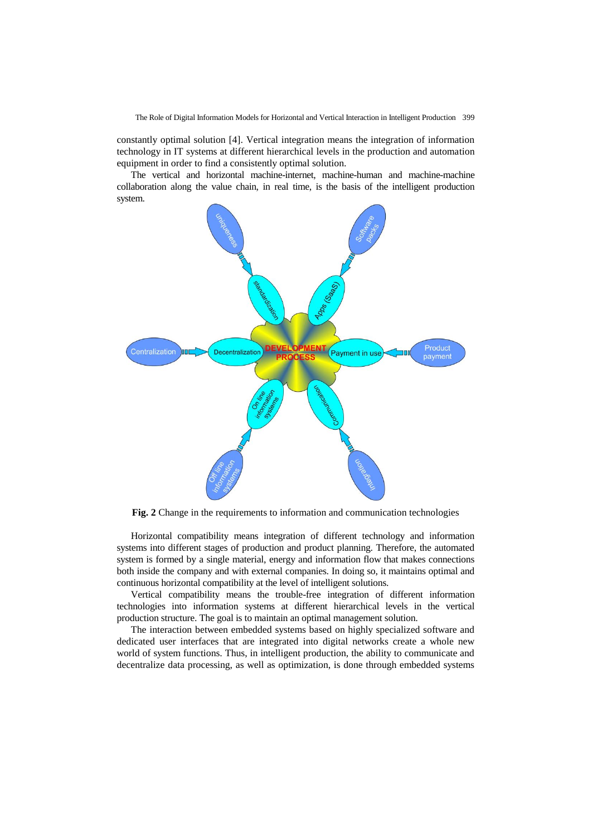The Role of Digital Information Models for Horizontal and Vertical Interaction in Intelligent Production 399

constantly optimal solution [4]. Vertical integration means the integration of information technology in IT systems at different hierarchical levels in the production and automation equipment in order to find a consistently optimal solution.

The vertical and horizontal machine-internet, machine-human and machine-machine collaboration along the value chain, in real time, is the basis of the intelligent production system.



**Fig. 2** Change in the requirements to information and communication technologies

Horizontal compatibility means integration of different technology and information systems into different stages of production and product planning. Therefore, the automated system is formed by a single material, energy and information flow that makes connections both inside the company and with external companies. In doing so, it maintains optimal and continuous horizontal compatibility at the level of intelligent solutions.

Vertical compatibility means the trouble-free integration of different information technologies into information systems at different hierarchical levels in the vertical production structure. The goal is to maintain an optimal management solution.

The interaction between embedded systems based on highly specialized software and dedicated user interfaces that are integrated into digital networks create a whole new world of system functions. Thus, in intelligent production, the ability to communicate and decentralize data processing, as well as optimization, is done through embedded systems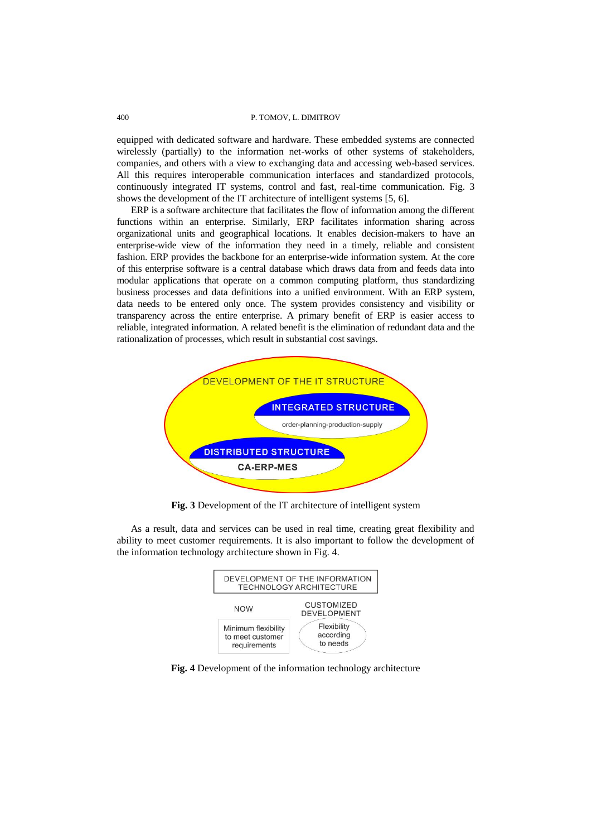#### 400 P. TOMOV, L. DIMITROV

equipped with dedicated software and hardware. These embedded systems are connected wirelessly (partially) to the information net-works of other systems of stakeholders, companies, and others with a view to exchanging data and accessing web-based services. All this requires interoperable communication interfaces and standardized protocols, continuously integrated IT systems, control and fast, real-time communication. Fig. 3 shows the development of the IT architecture of intelligent systems [5, 6].

ERP is a software architecture that facilitates the flow of information among the different functions within an enterprise. Similarly, ERP facilitates information sharing across organizational units and geographical locations. It enables decision-makers to have an enterprise-wide view of the information they need in a timely, reliable and consistent fashion. ERP provides the backbone for an enterprise-wide information system. At the core of this enterprise software is a central database which draws data from and feeds data into modular applications that operate on a common computing platform, thus standardizing business processes and data definitions into a unified environment. With an ERP system, data needs to be entered only once. The system provides consistency and visibility or transparency across the entire enterprise. A primary benefit of ERP is easier access to reliable, integrated information. A related benefit is the elimination of redundant data and the rationalization of processes, which result in substantial cost savings.



**Fig. 3** Development of the IT architecture of intelligent system

As a result, data and services can be used in real time, creating great flexibility and ability to meet customer requirements. It is also important to follow the development of the information technology architecture shown in Fig. 4.



**Fig. 4** Development of the information technology architecture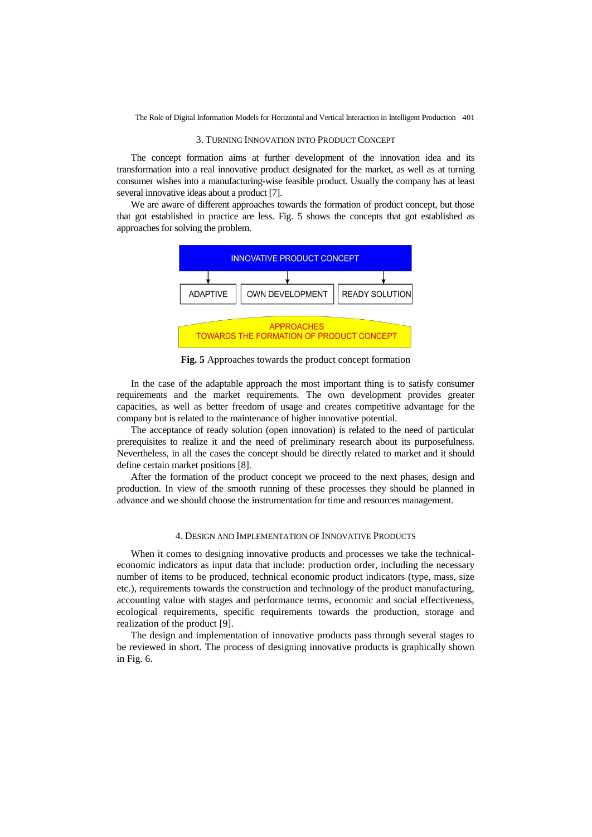The Role of Digital Information Models for Horizontal and Vertical Interaction in Intelligent Production 401

#### 3. TURNING INNOVATION INTO PRODUCT CONCEPT

The concept formation aims at further development of the innovation idea and its transformation into a real innovative product designated for the market, as well as at turning consumer wishes into a manufacturing-wise feasible product. Usually the company has at least several innovative ideas about a product [7].

We are aware of different approaches towards the formation of product concept, but those that got established in practice are less. Fig. 5 shows the concepts that got established as approaches for solving the problem.



**Fig. 5** Approaches towards the product concept formation

In the case of the adaptable approach the most important thing is to satisfy consumer requirements and the market requirements. The own development provides greater capacities, as well as better freedom of usage and creates competitive advantage for the company but is related to the maintenance of higher innovative potential.

The acceptance of ready solution (open innovation) is related to the need of particular prerequisites to realize it and the need of preliminary research about its purposefulness. Nevertheless, in all the cases the concept should be directly related to market and it should define certain market positions [8].

After the formation of the product concept we proceed to the next phases, design and production. In view of the smooth running of these processes they should be planned in advance and we should choose the instrumentation for time and resources management.

# 4. DESIGN AND IMPLEMENTATION OF INNOVATIVE PRODUCTS

When it comes to designing innovative products and processes we take the technicaleconomic indicators as input data that include: production order, including the necessary number of items to be produced, technical economic product indicators (type, mass, size etc.), requirements towards the construction and technology of the product manufacturing, accounting value with stages and performance terms, economic and social effectiveness, ecological requirements, specific requirements towards the production, storage and realization of the product [9].

The design and implementation of innovative products pass through several stages to be reviewed in short. The process of designing innovative products is graphically shown in Fig. 6.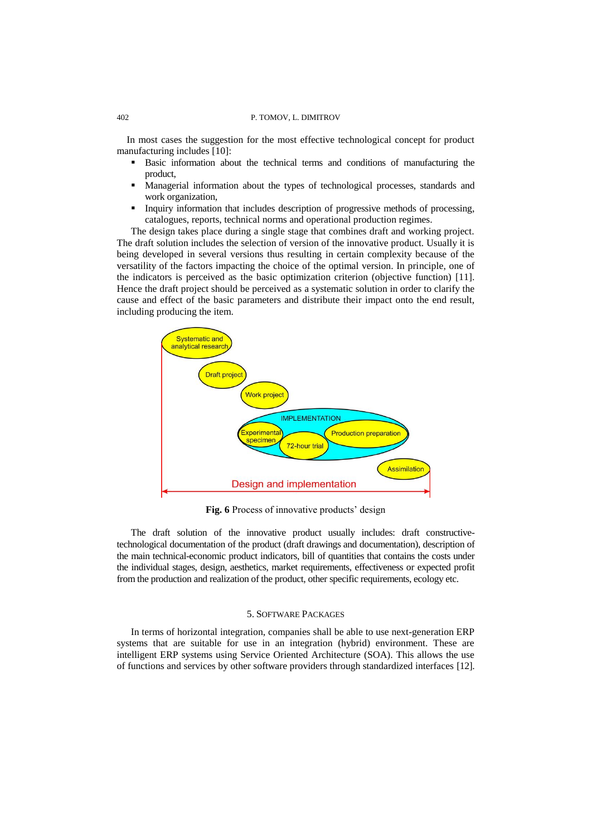#### 402 P. TOMOV, L. DIMITROV

In most cases the suggestion for the most effective technological concept for product manufacturing includes [10]:

- Basic information about the technical terms and conditions of manufacturing the product,
- Managerial information about the types of technological processes, standards and work organization,
- **Inquiry information that includes description of progressive methods of processing,** catalogues, reports, technical norms and operational production regimes.

The design takes place during a single stage that combines draft and working project. The draft solution includes the selection of version of the innovative product. Usually it is being developed in several versions thus resulting in certain complexity because of the versatility of the factors impacting the choice of the optimal version. In principle, one of the indicators is perceived as the basic optimization criterion (objective function) [11]. Hence the draft project should be perceived as a systematic solution in order to clarify the cause and effect of the basic parameters and distribute their impact onto the end result, including producing the item.



**Fig. 6** Process of innovative products' design

The draft solution of the innovative product usually includes: draft constructivetechnological documentation of the product (draft drawings and documentation), description of the main technical-economic product indicators, bill of quantities that contains the costs under the individual stages, design, aesthetics, market requirements, effectiveness or expected profit from the production and realization of the product, other specific requirements, ecology etc.

### 5. SOFTWARE PACKAGES

In terms of horizontal integration, companies shall be able to use next-generation ERP systems that are suitable for use in an integration (hybrid) environment. These are intelligent ERP systems using Service Oriented Architecture (SOA). This allows the use of functions and services by other software providers through standardized interfaces [12].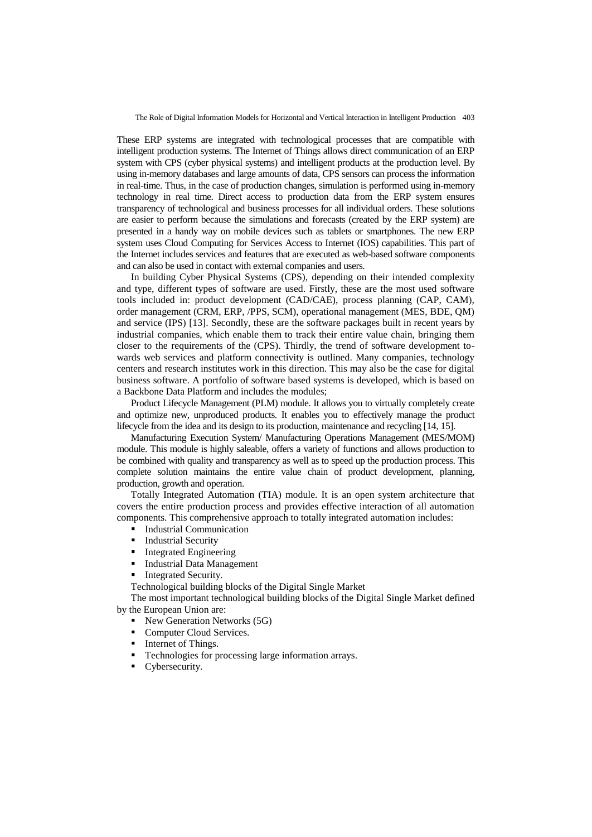The Role of Digital Information Models for Horizontal and Vertical Interaction in Intelligent Production 403

These ERP systems are integrated with technological processes that are compatible with intelligent production systems. The Internet of Things allows direct communication of an ERP system with CPS (cyber physical systems) and intelligent products at the production level. By using in-memory databases and large amounts of data, CPS sensors can process the information in real-time. Thus, in the case of production changes, simulation is performed using in-memory technology in real time. Direct access to production data from the ERP system ensures transparency of technological and business processes for all individual orders. These solutions are easier to perform because the simulations and forecasts (created by the ERP system) are presented in a handy way on mobile devices such as tablets or smartphones. The new ERP system uses Cloud Computing for Services Access to Internet (IOS) capabilities. This part of the Internet includes services and features that are executed as web-based software components and can also be used in contact with external companies and users.

In building Cyber Physical Systems (CPS), depending on their intended complexity and type, different types of software are used. Firstly, these are the most used software tools included in: product development (CAD/CAE), process planning (CAP, CAM), order management (CRM, ERP, /PPS, SCM), operational management (MES, BDE, QM) and service (IPS) [13]. Secondly, these are the software packages built in recent years by industrial companies, which enable them to track their entire value chain, bringing them closer to the requirements of the (CPS). Thirdly, the trend of software development towards web services and platform connectivity is outlined. Many companies, technology centers and research institutes work in this direction. This may also be the case for digital business software. A portfolio of software based systems is developed, which is based on a Backbone Data Platform and includes the modules;

Product Lifecycle Management (PLM) module. It allows you to virtually completely create and optimize new, unproduced products. It enables you to effectively manage the product lifecycle from the idea and its design to its production, maintenance and recycling [14, 15].

Manufacturing Execution System/ Manufacturing Operations Management (MES/MOM) module. This module is highly saleable, offers a variety of functions and allows production to be combined with quality and transparency as well as to speed up the production process. This complete solution maintains the entire value chain of product development, planning, production, growth and operation.

Totally Integrated Automation (TIA) module. It is an open system architecture that covers the entire production process and provides effective interaction of all automation components. This comprehensive approach to totally integrated automation includes:

- **Industrial Communication**
- Industrial Security
- **Integrated Engineering**
- Industrial Data Management
- Integrated Security.

Technological building blocks of the Digital Single Market

The most important technological building blocks of the Digital Single Market defined by the European Union are:

- New Generation Networks (5G)
- Computer Cloud Services.
- Internet of Things.
- Technologies for processing large information arrays.
- Cybersecurity.